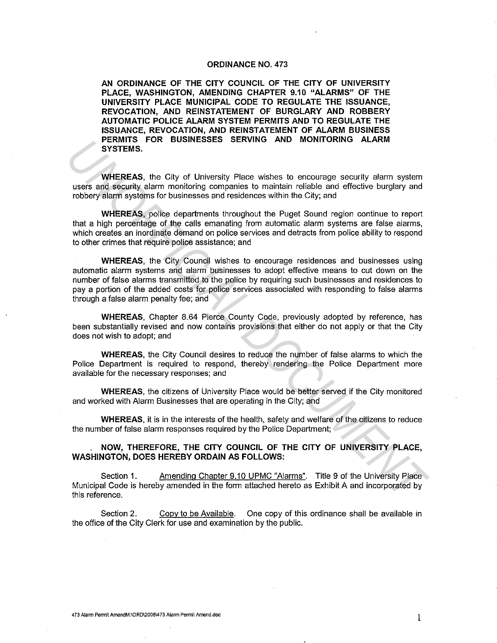#### **ORDINANCE NO. 473**

**AN ORDINANCE OF THE CITY COUNCIL OF THE CITY OF UNIVERSITY PLACE, WASHINGTON, AMENDING CHAPTER 9.10 "ALARMS" OF THE UNIVERSITY PLACE MUNICIPAL CODE TO REGULATE THE ISSUANCE, REVOCATION, AND REINSTATEMENT OF BURGLARY AND ROBBERY AUTOMATIC POLICE ALARM SYSTEM PERMITS AND TO REGULATE THE ISSUANCE, REVOCATION, AND REINSTATEMENT OF ALARM BUSINESS PERMITS FOR BUSINESSES SERVING AND MONITORING ALARM SYSTEMS.** 

**WHEREAS,** the City of University Place wishes to encourage security alarm system users and security alarm monitoring companies to maintain reliable and effective burglary and robbery alarm systems for businesses and residences within the City; and

**WHEREAS,** police departments throughout the Puget Sound region continue to report that a high percentage of the calls emanating from automatic alarm systems are false alarms, which creates an inordinate demand on police services and detracts from police ability to respond to other crimes that require police assistance; and

**WHEREAS,** the City Council wishes to encourage residences and businesses using automatic alarm systems and alarm businesses to adopt effective means to cut down on the number of false alarms transmitted to the police by requiring such businesses and residences to pay a portion of the added costs for police services associated with responding to false alarms through a false alarm penalty fee; and **EXAMILY THE SET AND MUNITERED SERVING AND MUNITEREM SYSTEMS.**<br>
WHEREAS, the City of University Place wishes to encourage security alsern<br>
uses and security alsern monitoring companes to maintain reliable and effective bur

**WHEREAS,** Chapter 8.64 Pierce County Code, previously adopted by reference, has been substantially revised and now contains provisions that either do not apply or that the City does not wish to adopt; and

**WHEREAS,** the City Council desires to reduce the number of false alarms to which the Police Department is required to respond, thereby rendering the Police Department more available for the necessary responses; and

**WHEREAS,** the citizens of University Place would be better served if the City monitored and worked with Alarm Businesses that are operating in the City; and

**WHEREAS,** it is in the interests of the health, safety and welfare of the citizens to reduce the number of false alarm responses required by the Police Department;

**NOW, THEREFORE, THE CITY COUNCIL OF THE CITY OF UNIVERSITY PLACE, WASHINGTON, DOES HEREBY ORDAIN AS FOLLOWS:** 

Section 1. Amending Chapter 9.10 UPMC "Alarms". Title 9 of the University Place Municipal Code is hereby amended in the form attached hereto as Exhibit A and incorporated by this reference.

Section 2. Copy to be Available. One copy of this ordinance shall be available in the office of the City Clerk for use and examination by the public.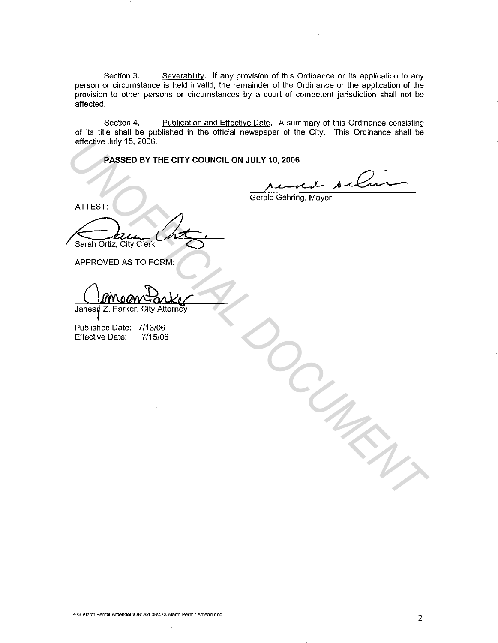Section 3. Severability. If any provision of this Ordinance or its application to any person or circumstance is held invalid, the remainder of the Ordinance or the application of the provision to other persons or circumstances by a court of competent jurisdiction shall not be affected.

Section 4. Publication and Effective Date. A summary of this Ordinance consisting of its title shall be published in the official newspaper of the City. This Ordinance shall be effective July 15, 2006.

**PASSED BY THE CITY COUNCIL ON JULY 10, 2006** 

Gerald Gehring, Mayor

ATTEST:

Sarah Ortiz, City Clerk PASSED BY THE CITY COUNCIL ON JULY 10, 2006<br> **AXENCED BY THE CITY COUNCIL ON JULY 10, 2006**<br>
ATTEST:<br>
Serien Oriz, City Clerk<br> **APPROVED AS TO FORM:**<br> **UNIGRAD DRG:** 7713/06<br>
Effective Date: 7/15/06<br>
Perfective Date: 7/15/

APPROVED AS TO FORM:

Published Date: 7/13/06 Effective Date: 7/15/06

**473 Alarm Permit AmendM:\ORD\2006\473 Alarm Permit Amend.doc**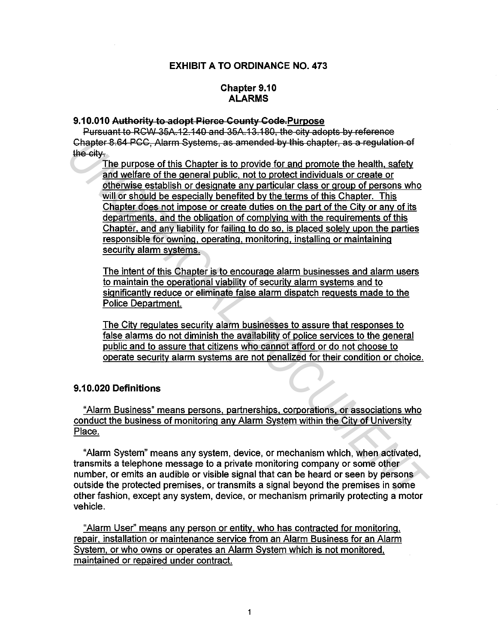## EXHIBIT A TO ORDINANCE NO. 473

## Chapter 9.10 ALARMS

### 9.10.010 Authority to adopt Pierce County Code.Purpose

Pursuant to RCW 35A.12.140 and 35A.13.180, the city adopts by reference Chapter 8.64 PCC, Alarm Systems, as amended by this chapter, as a regulation of the city.

The purpose of this Chapter is to provide for and promote the health. safety and welfare of the general public, not to protect individuals or create or otherwise establish or designate any particular class or group of persons who will or should be especially benefited by the terms of this Chapter. This Chapter does not impose or create duties on the part of the City or any of its departments. and the obligation of complying with the requirements of this Chapter. and any liability for failing to do so. is placed solely upon the parties responsible for owning. operating. monitoring. installing or maintaining security alarm systems. Chapter 8.64 PCC, Alarm Systems, as amended by this chapter, as a regulation of<br> **The ority.**<br> **Uncertainty and welfare in the proposed the health. safety**<br> **In purpose of this Chapter is to provide for and promote the hea** 

The intent of this Chapter is to encourage alarm businesses and alarm users to maintain the operational viability of security alarm systems and to significantly reduce or eliminate false alarm dispatch requests made to the Police Department.

The City regulates security alarm businesses to assure that responses to false alarms do not diminish the availability of police services to the general public and to assure that citizens who cannot afford or do not choose to operate security alarm systems are not penalized for their condition or choice.

### 9.10.020 Definitions

"Alarm Business" means persons. partnerships. corporations. or associations who conduct the business of monitoring any Alarm System within the City of University Place.

"Alarm System" means any system, device, or mechanism which, when activated, transmits a telephone message to a private monitoring company or some other number, or emits an audible or visible signal that can be heard or seen by persons outside the protected premises, or transmits a signal beyond the premises in some other fashion, except any system, device, or mechanism primarily protecting a motor vehicle.

"Alarm User" means any person or entity. who has contracted for monitoring, repair, installation or maintenance service from an Alarm Business for an Alarm System. or who owns or operates an Alarm System which is not monitored. maintained or repaired under contract.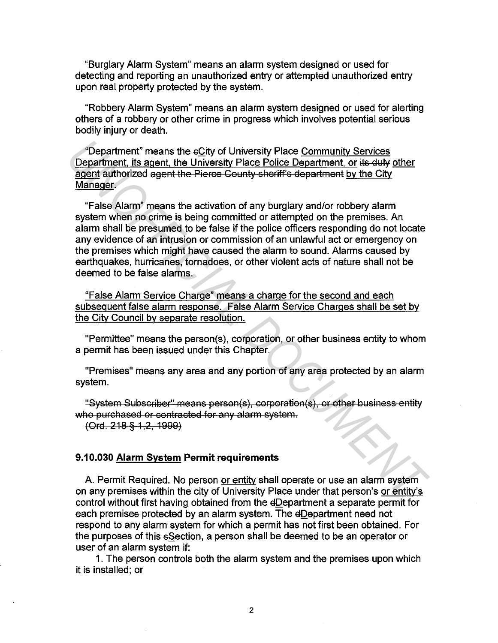"Burglary Alarm System" means an alarm system designed or used for detecting and reporting an unauthorized entry or attempted unauthorized entry upon real property protected by the system.

"Robbery Alarm System" means an alarm system designed or used for alerting others of a robbery or other crime in progress which involves potential serious bodily injury or death.

"Department" means the eCity of University Place Community Services Department, its agent, the University Place Police Department, or its duly other agent authorized agent the Pierce County sheriff's department by the City Manager.

"False Alarm" means the activation of any burglary and/or robbery alarm system when no crime is being committed or attempted on the premises. An alarm shall be presumed to be false if the police officers responding do not locate any evidence of an intrusion or commission of an unlawful act or emergency on the premises which might have caused the alarm to sound. Alarms caused by earthquakes, hurricanes, tornadoes, or other violent acts of nature shall not be deemed to be false alarms. **Department"** means the eCity of University Place Community Services<br> **Department**, its squerit, the University Place Police Department, or its duty other<br> **Example 2011** authorized agent the Pierce County sheriff's depart

"False Alarm Service Charge" means a charge for the second and each subsequent false alarm response. False Alarm Service Charges shall be set by the City Council by separate resolution.

"Permittee" means the person(s), corporation, or other business entity to whom a permit has been issued under this Chapter.

"Premises" means any area and any portion of any area protected by an alarm system.

"System Subscriber" means person(s), corporation(s), or other business entity who purchased or contracted for any alarm system.

\Ord. 218 § 1,2, 1999)

### **9.10.030 Alarm System Permit requirements**

A. Permit Required. No person or entity shall operate or use an alarm system on any premises within the city of University Place under that person's or entity's control without first having obtained from the dDepartment a separate permit for each premises protected by an alarm system. The dDepartment need not respond to any alarm system for which a permit has not first been obtained. For the purposes of this sSection, a person shall be deemed to be an operator or user of an alarm system if:

1. The person controls both the alarm system and the premises upon which it is installed; or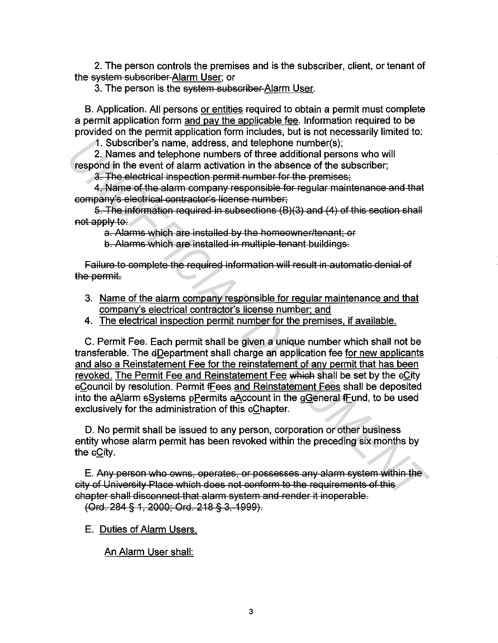2. The person controls the premises and is the subscriber, client, or tenant of the system subscriber Alarm User; or

3. The person is the system subscriber Alarm User.

B. Application. All persons or entities required to obtain a permit must complete a permit application form and pay the applicable fee. Information required to be provided on the permit application form includes, but is not necessarily limited to:

1. Subscriber's name, address, and telephone number(s);

2. Names and telephone numbers of three additional persons who will respond in the event of alarm activation in the absence of the subscriber;

3. The electrical inspection permit number for the premises;

4. Name of the alarm company responsible for regular maintenance and that company's electrical contractor's license number;

5. The information required in subsections (B)(3) and (4) of this section shall not apply to:

a. Alarms which are installed by the homeowner/tenant; or b. Alarms which are installed in multiple tenant buildings.

failure to complete the required information will result in automatic denial of the permit.

- 3. Name of the alarm company responsible for regular maintenance and that company's electrical contractor's license number; and
- 4. The electrical inspection permit number for the premises, if available.

C. Permit Fee. Each permit shall be given a unique number which shall not be transferable. The dDepartment shall charge an application fee for new applicants and also a Reinstatement Fee for the reinstatement of any permit that has been revoked. The Permit Fee and Reinstatement Fee which shall be set by the eCity cCouncil by resolution. Permit fEees and Reinstatement Fees shall be deposited into the aAlarm sSystems  $\beta$ Permits aAccount in the  $\beta$ General fFund, to be used exclusively for the administration of this cChapter. 1. Subscriber's name, address, and leephone numbers of three additional persons who will<br>respond in the event of alarm activation in the absence of the subscriber;<br>**3. Names and telephone numbers of three additional perso** 

D. No permit shall be issued to any person, corporation or other business entity whose alarm permit has been revoked within the preceding six months by the eCity.

E. Any person who owns, operates, or possesses any alarm system within the city of University Place which does not conform to the requirements of this chapter shall disconnect that alarm system and render it inoperable.

(Ord. 284 § 1, 2000; Ord. 218 § 3, 1999).

E. Duties of Alarm Users.

An Alarm User shall: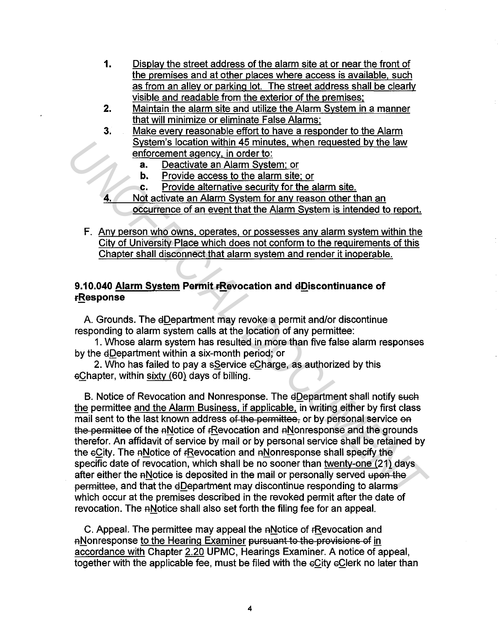- **1.** Display the street address of the alarm site at or near the front of the premises and at other places where access is available. such as from an alley or parking lot. The street address shall be clearly visible and readable from the exterior of the premises:
- **2.** Maintain the alarm site and utilize the Alarm System in a manner that will minimize or eliminate False Alarms:
- 3. Make everv reasonable effort to have a responder to the Alarm System's location within 45 minutes. when requested by the law enforcement agency, in order to:
	- **a.** Deactivate an Alarm System: or
	- **b.** Provide access to the alarm site; or
	- c. Provide alternative security for the alarm site.
- **4.** Not activate an Alarm System for any reason other than an occurrence of an event that the Alarm System is intended to report.
- F. Any person who owns. operates, or possesses any alarm system within the City of University Place which does not conform to the requirements of this Chapter shall disconnect that alarm system and render it inoperable.

# **9.10.040 Alarm System Permit FRevocation and dDiscontinuance of FResponse**

A. Grounds. The eDepartment may revoke a permit and/or discontinue responding to alarm system calls at the location of any permittee:

1. Whose alarm system has resulted in more than five false alarm responses by the dDepartment within a six-month period; or

2. Who has failed to pay a sService eCharge, as authorized by this  $e$ Chapter, within sixty  $(60)$  days of billing.

B. Notice of Revocation and Nonresponse. The dDepartment shall notify such the permittee and the Alarm Business. if applicable. in writing either by first class mail sent to the last known address of the permittee, or by personal service on the permittee of the ANotice of FRevocation and ANonresponse and the grounds therefor. An affidavit of service by mail or by personal service shall be retained by the eCity. The ANotice of rRevocation and ANonresponse shall specify the specific date of revocation, which shall be no sooner than twenty-one (21) days after either the ANotice is deposited in the mail or personally served upon the permittee, and that the eDepartment may discontinue responding to alarms which occur at the premises described in the revoked permit after the date of revocation. The ANotice shall also set forth the filing fee for an appeal. **Example Socially within 45 minutes, when requested by the law<br>
<b>Example Control and Social Properties**<br> **B.** Provide alternative security for the alarm site.<br> **B.** Provide activate an Alarm System for any tester<br> **A.** Not

C. Appeal. The permittee may appeal the ANotice of rRevocation and ANonresponse to the Hearing Examiner pursuant to the provisions of in accordance with Chapter 2.20 UPMC, Hearings Examiner. A notice of appeal, together with the applicable fee, must be filed with the eCity eClerk no later than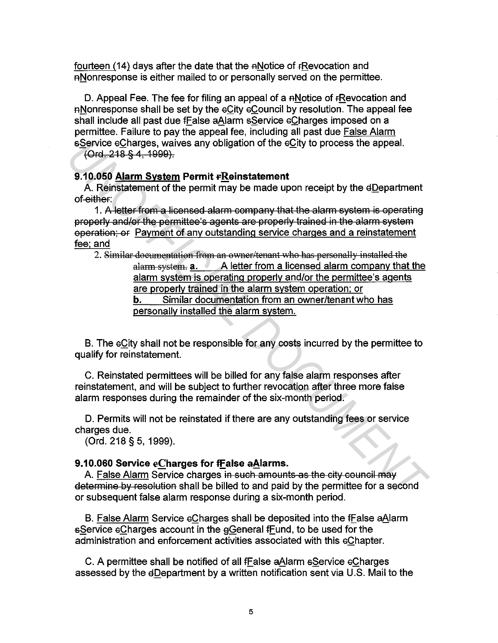fourteen (14) days after the date that the ANotice of FRevocation and a Nonresponse is either mailed to or personally served on the permittee.

D. Appeal Fee. The fee for filing an appeal of a  $A$ Notice of fRevocation and a Nonresponse shall be set by the eCity eCouncil by resolution. The appeal fee shall include all past due fEalse aAlarm sService eCharges imposed on a permittee. Failure to pay the appeal fee, including all past due False Alarm sService eCharges, waives any obligation of the eCity to process the appeal.

(Ord. 21B § *4,* 1999).

## **9.10.050 Alarm System Permit FReinstatement**

A. Reinstatement of the permit may be made upon receipt by the dDepartment of either:

1. A letter from a licensed alarm company that the alarm system is operating properly and/Of the permittee's agents are properly trained in the alarm system operation; or Payment of any outstanding service charges and a reinstatement fee; and

2. Similar documentation from an owner/tenant who has personally installed the alarm system. **a.** A letter from a licensed alarm company that the alarm system is operating properly and/or the permittee's agents are properly trained in the alarm system operation: or **b.** Similar documentation from an owner/tenant who has personally installed the alarm system. **CORTAGES waives any obligation of the oCity to process the appeal.**<br> **2006 Alarm System Permit rapidstatement**<br> **3.10.050 Alarm System Permit rapidstatement**<br> **2.10.050 Alarm System Permit rapids that the alarm evotent by** 

B. The eCity shall not be responsible for any costs incurred by the permittee to qualify for reinstatement.

C. Reinstated permittees will be billed for any false alarm responses after reinstatement, and will be subject to further revocation after three more false alarm responses during the remainder of the six-month period.

D. Permits will not be reinstated if there are any outstanding fees or service charges due.

(Ord. 218 § 5, 1999).

## **9.10.060 Service eCharges for ff alse aAlarms.**

A. False Alarm Service charges in such amounts as the city council may determine by resolution shall be billed to and paid by the permittee for a second or subsequent false alarm response during a six-month period.

B. False Alarm Service eCharges shall be deposited into the fEalse aAlarm sService eCharges account in the eGeneral fFund, to be used for the administration and enforcement activities associated with this eChapter.

C. A permittee shall be notified of all fFalse aAlarm sService eCharges assessed by the dDepartment by a written notification sent via U.S. Mail to the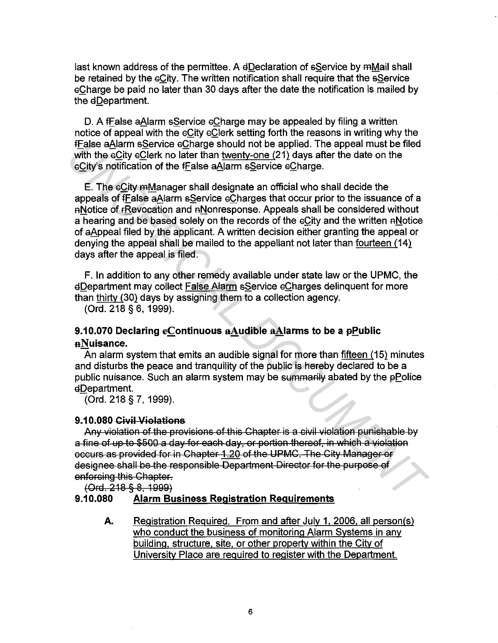last known address of the permittee. A dDeclaration of sService by mMail shall be retained by the sCity. The written notification shall require that the sService sCharge be paid no later than 30 days after the date the notification is mailed by the dDepartment.

D. A fFalse aAlarm sService eCharge may be appealed by filing a written notice of appeal with the  $e$ City  $e$ Clerk setting forth the reasons in writing why the fEalse a81arm sService sCharge should not be applied. The appeal must be filed with the eCity eClerk no later than twenty-one (21) days after the date on the sCity's notification of the fEalse aAlarm sService sCharge.

E. The sCity mManager shall designate an official who shall decide the appeals of fFalse aAlarm sService eCharges that occur prior to the issuance of a RNotice of fRevocation and RNonresponse. Appeals shall be considered without a hearing and be based solely on the records of the eCity and the written ANotice of aAppeal filed by the applicant. A written decision either granting the appeal or denying the appeal shall be mailed to the appellant not later than fourteen (14) days after the appeal is filed. **Firstles eAlarm Service Charge should not be applied. The appeal must be filed who the active compare should not be applied. The appeal must be filed eCity's notification of the Ealse aAlarm sService cCharge.<br>
E. The cCit** 

F. In addition to any other remedy available under state law or the UPMC, the €1Department may collect False Alarm sService sCharges delinquent for more than thirty (30) days by assigning them to a collection agency.

(Ord. 218 § 6, 1999).

# 9.10.070 Declaring eContinuous aAudible aAlarms to be a pPublic nNuisance.

An alarm system that emits an audible signal for more than fifteen (15) minutes and disturbs the peace and tranquility of the public is hereby declared to be a public nuisance. Such an alarm system may be summarily abated by the pPolice EIDepartment.

(Ord. 218 § 7, 1999).

## 9.10.080 Civil Violations

Any violation of the provisions of this Chapter is a civil violation punishable by a fine of up to \$500 a day for each day, or portion thereof, in which a violation occurs as provided for in Chapter 1.20 of the UPMC. The City Manager or designee shall be the responsible Department Director for the purpose of enforcing this Chapter.

 $(Ord. 218 § 8, 1999)$ 

## 9.10.080 Alarm Business Registration Requirements

A. Registration Required. From and after July 1. 2006. all person(s) who conduct the business of monitoring Alarm Systems in any building, structure. site. or other property within the City of University Place are required to register with the Department.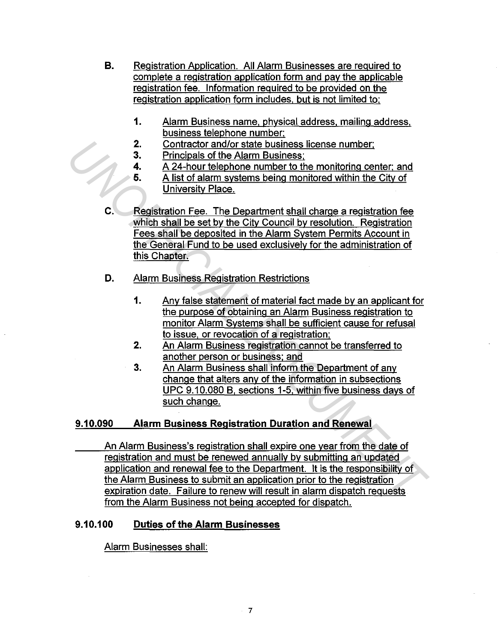- **B.** Registration Application. All Alarm Businesses are required to complete a registration application form and pay the applicable registration fee. Information required to be provided on the registration application form includes. but is not limited to:
	- **1.** Alarm Business name. physical address. mailing address. business telephone number:
	- **2.** Contractor and/or state business license number:
	- 3. Principals of the Alarm Business;
	- **4.** A 24-hour telephone number to the monitoring center: and
	- **5.** A list of alarm systems being monitored within the City of University Place.
- **C.** Registration Fee. The Department shall charge a registration fee which shall be set by the City Council by resolution. Registration Fees shall be deposited in the Alarm System Permits Account in the General Fund to be used exclusively for the administration of this Chapter.
- **D.** Alarm Business Registration Restrictions
	- **1.** Any false statement of material fact made by an applicant for the purpose of obtaining an Alarm Business registration to monitor Alarm Systems shall be sufficient cause for refusal to issue. or revocation of a registration;
	- 2. An Alarm Business registration cannot be transferred to another person or business: and
	- 3. An Alarm Business shall inform the Department of any change that alters any of the information in subsections UPC 9.10.080 B, sections 1-5, within five business days of such change.

#### **9.10.090 Alarm Business Registration Duration and Renewal**

An Alarm Business's registration shall expire one year from the date of registration and must be renewed annually by submitting an updated application and renewal fee to the Department. It is the responsibility of the Alarm Business to submit an application prior to the registration expiration date. Failure to renew will result in alarm dispatch requests from the Alarm Business not being accepted for dispatch. 2. Contractor and/or state business license number;<br> **3.** Contractor and *A* Ethical Dislocation European conternses:<br> **4.** A 24-hour telephone number to the monitoring center, and<br> **4.** A 24-hour telephone number to the

# **9.10.100 Duties of the Alarm Businesses**

Alarm Businesses shall: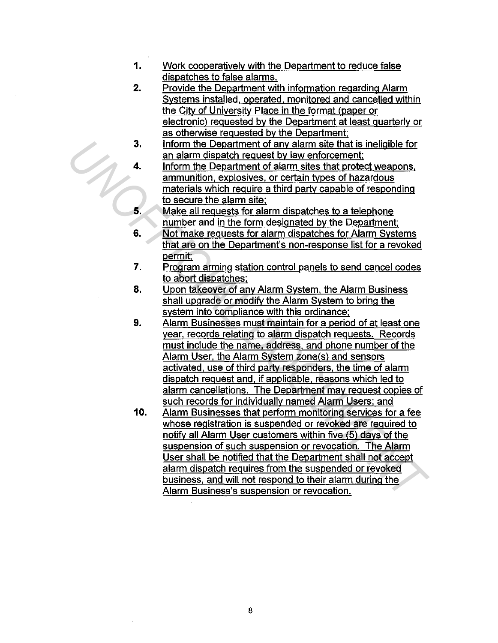- 1. Work cooperatively with the Department to reduce false dispatches to false alarms.
- 2. Provide the Department with information regarding Alarm Systems installed. operated. monitored and cancelled within the City of University Place in the format (paper or electronic) requested by the Department at least quarterly or as otherwise requested by the Department:
- 3. Inform the Department of any alarm site that is ineligible for an alarm dispatch request by law enforcement;
- 4. Inform the Department of alarm sites that protect weapons. ammunition. explosives. or certain types of hazardous materials which require a third party capable of responding to secure the alarm site:
- 5. Make all requests for alarm dispatches to a telephone number and in the form designated by the Department:
- 6. Not make requests for alarm dispatches for Alarm Systems that are on the Department's non-response list for a revoked permit:
- 7. Program arming station control panels to send cancel codes to abort dispatches:
- 8. Upon takeover of any Alarm System, the Alarm Business shall upgrade or modify the Alarm System to bring the system into compliance with this ordinance;
- 9. Alarm Businesses must maintain for a period of at least one year, records relating to alarm dispatch requests. Records must include the name, address. and phone number of the Alarm User, the Alarm System zone(s) and sensors activated, use of third party responders, the time of alarm dispatch request and. if applicable. reasons which led to alarm cancellations. The Department may request copies of such records for individually named Alarm Users: and
- 10. Alarm Businesses that perform monitoring services for a fee whose registration is suspended or revoked are required to notify all Alarm User customers within five (5) days of the suspension of such suspension or revocation. The Alarm User shall be notified that the Department shall not accept alarm dispatch requires from the suspended or revoked business, and will not respond to their alarm during the Alarm Business's suspension or revocation. **Form the Department of any alarm site that is ineligible for<br>
an alarm dispatch request by law enforcement;**<br> **4.** Inform the Department of alarm sites that protect weapons,<br>
ammunition. explosives, or centrain types of h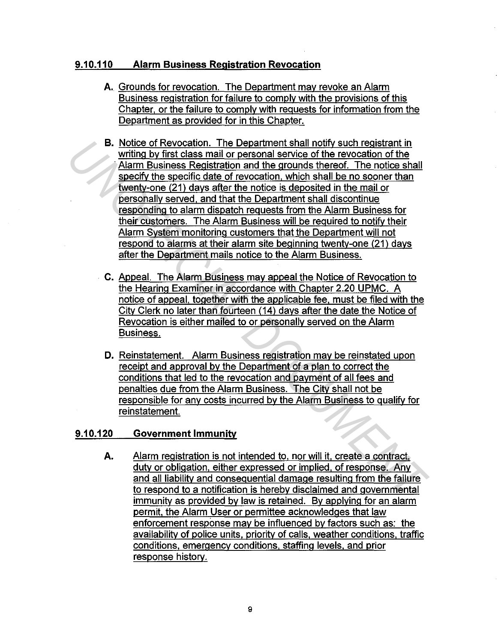# **9.10.110 Alarm Business Registration Revocation**

- **A.** Grounds for revocation. The Department may revoke an Alarm Business registration for failure to comply with the provisions of this Chapter. or the failure to comply with requests for information from the Department as provided for in this Chapter.
- **B.** Notice of Revocation. The Department shall notify such registrant in writing by first class mail or personal service of the revocation of the Alarm Business Registration and the grounds thereof. The notice shall specify the specific date of revocation. which shall be no sooner than twentv-one (21) days after the notice is deposited in the mail or personally served. and that the Department shall discontinue responding to alarm dispatch requests from the Alarm Business for their customers. The Alarm Business will be required to notify their Alarm System monitoring customers that the Department will not respond to alarms at their alarm site beginning twenty-one (21) days after the Department mails notice to the Alarm Business. **IST Abdice of Revocation.** The Department that notify such resistent in the main of the woords of the revocation of the Alarm Business Registration and the grounds thereof. The notice shall see the three cells the of revo
	- C. Appeal. The Alarm Business may appeal the Notice of Revocation to the Hearing Examiner in accordance with Chapter 2.20 UPMC. A notice of appeal, together with the applicable fee. must be filed with the City Clerk no later than fourteen (14) days after the date the Notice of Revocation is either mailed to or personally served on the Alarm Business.
	- **D.** Reinstatement. Alarm Business registration may be reinstated upon receipt and approval by the Department of a plan to correct the conditions that led to the revocation and payment of all fees and penalties due from the Alarm Business. The City shall not be responsible for any costs incurred by the Alarm Business to qualify for reinstatement.

#### **9.10.120 Government Immunity**

**A.**  Alarm registration is not intended to, nor will it. create a contract. duty or obligation, either expressed or implied, of response. Any and all liability and consequential damage resulting from the failure to respond to a notification is hereby disclaimed and governmental immunity as provided by law is retained. By applying for an alarm permit. the Alarm User or permittee acknowledges that law enforcement response may be influenced by factors such as: the availabilitv of police units, priority of calls, weather conditions. traffic conditions, emergency conditions. staffing levels. and prior response history.